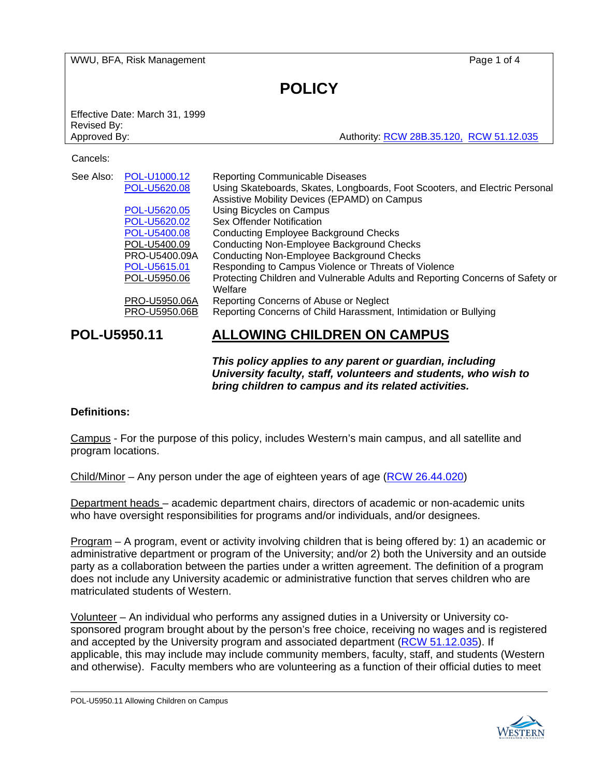WWU, BFA, Risk Management **Page 1 of 4** 

# **POLICY**

Effective Date: March 31, 1999 Revised By:

Approved By: Authority: [RCW 28B.35.120,](http://apps.leg.wa.gov/rcw/default.aspx?cite=28B.35.120) [RCW 51.12.035](http://apps.leg.wa.gov/rcw/default.aspx?cite=51.12.035)

### Cancels:

| See Also: | POL-U1000.12  | <b>Reporting Communicable Diseases</b>                                        |
|-----------|---------------|-------------------------------------------------------------------------------|
|           | POL-U5620.08  | Using Skateboards, Skates, Longboards, Foot Scooters, and Electric Personal   |
|           |               | Assistive Mobility Devices (EPAMD) on Campus                                  |
|           | POL-U5620.05  | Using Bicycles on Campus                                                      |
|           | POL-U5620.02  | Sex Offender Notification                                                     |
|           | POL-U5400.08  | <b>Conducting Employee Background Checks</b>                                  |
|           | POL-U5400.09  | <b>Conducting Non-Employee Background Checks</b>                              |
|           | PRO-U5400.09A | <b>Conducting Non-Employee Background Checks</b>                              |
|           | POL-U5615.01  | Responding to Campus Violence or Threats of Violence                          |
|           | POL-U5950.06  | Protecting Children and Vulnerable Adults and Reporting Concerns of Safety or |
|           |               | Welfare                                                                       |
|           | PRO-U5950.06A | Reporting Concerns of Abuse or Neglect                                        |
|           | PRO-U5950.06B | Reporting Concerns of Child Harassment, Intimidation or Bullying              |
|           |               |                                                                               |

## **POL-U5950.11 ALLOWING CHILDREN ON CAMPUS**

*This policy applies to any parent or guardian, including University faculty, staff, volunteers and students, who wish to bring children to campus and its related activities.*

## **Definitions:**

Campus - For the purpose of this policy, includes Western's main campus, and all satellite and program locations.

Child/Minor – Any person under the age of eighteen years of age [\(RCW 26.44.020\)](http://apps.leg.wa.gov/rcw/default.aspx?cite=26.44.020)

Department heads – academic department chairs, directors of academic or non-academic units who have oversight responsibilities for programs and/or individuals, and/or designees.

Program – A program, event or activity involving children that is being offered by: 1) an academic or administrative department or program of the University; and/or 2) both the University and an outside party as a collaboration between the parties under a written agreement. The definition of a program does not include any University academic or administrative function that serves children who are matriculated students of Western.

Volunteer – An individual who performs any assigned duties in a University or University cosponsored program brought about by the person's free choice, receiving no wages and is registered and accepted by the University program and associated department [\(RCW 51.12.035\)](http://apps.leg.wa.gov/RCW/default.aspx?cite=51.12.035). If applicable, this may include may include community members, faculty, staff, and students (Western and otherwise). Faculty members who are volunteering as a function of their official duties to meet

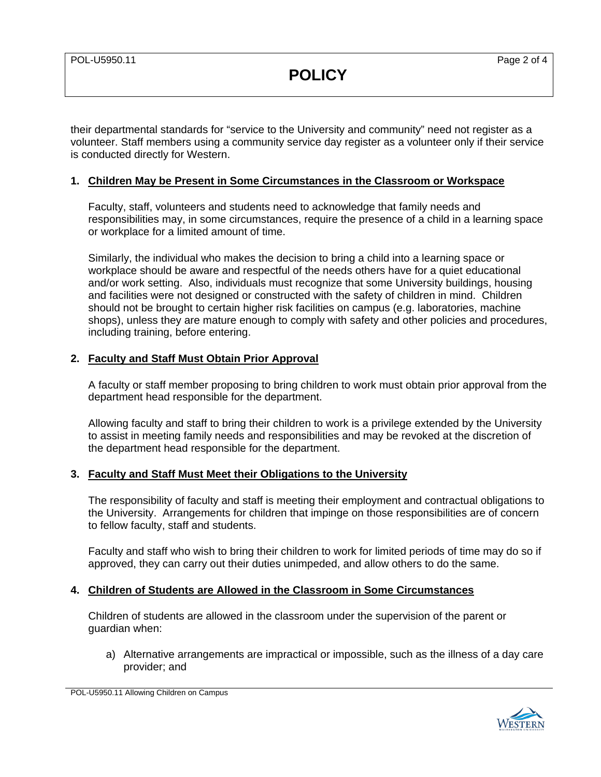**POLICY**

their departmental standards for "service to the University and community" need not register as a volunteer. Staff members using a community service day register as a volunteer only if their service is conducted directly for Western.

## **1. Children May be Present in Some Circumstances in the Classroom or Workspace**

Faculty, staff, volunteers and students need to acknowledge that family needs and responsibilities may, in some circumstances, require the presence of a child in a learning space or workplace for a limited amount of time.

Similarly, the individual who makes the decision to bring a child into a learning space or workplace should be aware and respectful of the needs others have for a quiet educational and/or work setting. Also, individuals must recognize that some University buildings, housing and facilities were not designed or constructed with the safety of children in mind. Children should not be brought to certain higher risk facilities on campus (e.g. laboratories, machine shops), unless they are mature enough to comply with safety and other policies and procedures, including training, before entering.

## **2. Faculty and Staff Must Obtain Prior Approval**

A faculty or staff member proposing to bring children to work must obtain prior approval from the department head responsible for the department.

Allowing faculty and staff to bring their children to work is a privilege extended by the University to assist in meeting family needs and responsibilities and may be revoked at the discretion of the department head responsible for the department.

## **3. Faculty and Staff Must Meet their Obligations to the University**

The responsibility of faculty and staff is meeting their employment and contractual obligations to the University. Arrangements for children that impinge on those responsibilities are of concern to fellow faculty, staff and students.

Faculty and staff who wish to bring their children to work for limited periods of time may do so if approved, they can carry out their duties unimpeded, and allow others to do the same.

## **4. Children of Students are Allowed in the Classroom in Some Circumstances**

Children of students are allowed in the classroom under the supervision of the parent or guardian when:

a) Alternative arrangements are impractical or impossible, such as the illness of a day care provider; and

POL-U5950.11 Allowing Children on Campus

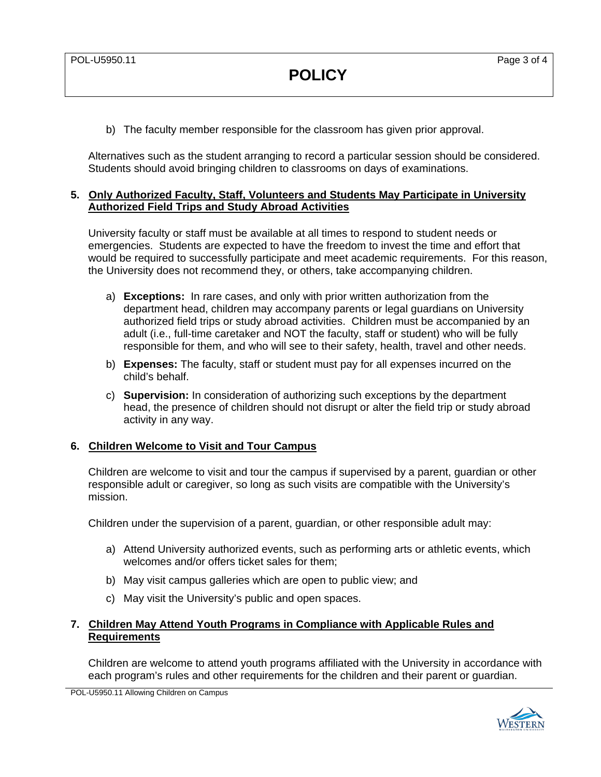b) The faculty member responsible for the classroom has given prior approval.

Alternatives such as the student arranging to record a particular session should be considered. Students should avoid bringing children to classrooms on days of examinations.

## **5. Only Authorized Faculty, Staff, Volunteers and Students May Participate in University Authorized Field Trips and Study Abroad Activities**

University faculty or staff must be available at all times to respond to student needs or emergencies. Students are expected to have the freedom to invest the time and effort that would be required to successfully participate and meet academic requirements. For this reason, the University does not recommend they, or others, take accompanying children.

- a) **Exceptions:** In rare cases, and only with prior written authorization from the department head, children may accompany parents or legal guardians on University authorized field trips or study abroad activities. Children must be accompanied by an adult (i.e., full-time caretaker and NOT the faculty, staff or student) who will be fully responsible for them, and who will see to their safety, health, travel and other needs.
- b) **Expenses:** The faculty, staff or student must pay for all expenses incurred on the child's behalf.
- c) **Supervision:** In consideration of authorizing such exceptions by the department head, the presence of children should not disrupt or alter the field trip or study abroad activity in any way.

## **6. Children Welcome to Visit and Tour Campus**

Children are welcome to visit and tour the campus if supervised by a parent, guardian or other responsible adult or caregiver, so long as such visits are compatible with the University's mission.

Children under the supervision of a parent, guardian, or other responsible adult may:

- a) Attend University authorized events, such as performing arts or athletic events, which welcomes and/or offers ticket sales for them;
- b) May visit campus galleries which are open to public view; and
- c) May visit the University's public and open spaces.

## **7. Children May Attend Youth Programs in Compliance with Applicable Rules and Requirements**

Children are welcome to attend youth programs affiliated with the University in accordance with each program's rules and other requirements for the children and their parent or guardian.